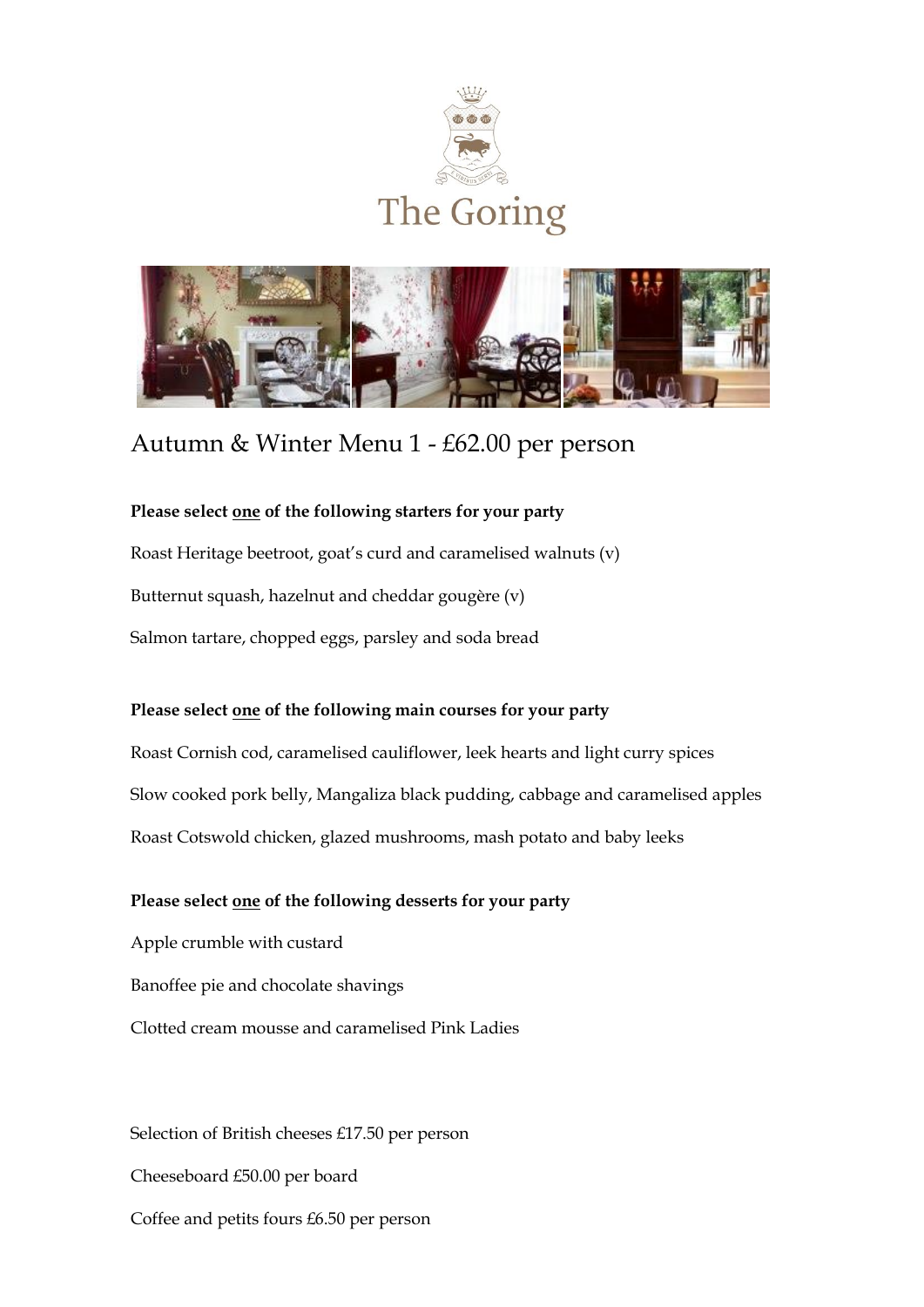



# Autumn & Winter Menu 1 - £62.00 per person

# **Please select one of the following starters for your party**

Roast Heritage beetroot, goat's curd and caramelised walnuts (v) Butternut squash, hazelnut and cheddar gougère (v) Salmon tartare, chopped eggs, parsley and soda bread

## **Please select one of the following main courses for your party**

Roast Cornish cod, caramelised cauliflower, leek hearts and light curry spices Slow cooked pork belly, Mangaliza black pudding, cabbage and caramelised apples Roast Cotswold chicken, glazed mushrooms, mash potato and baby leeks

## **Please select one of the following desserts for your party**

Apple crumble with custard Banoffee pie and chocolate shavings Clotted cream mousse and caramelised Pink Ladies

Selection of British cheeses £17.50 per person Cheeseboard £50.00 per board Coffee and petits fours £6.50 per person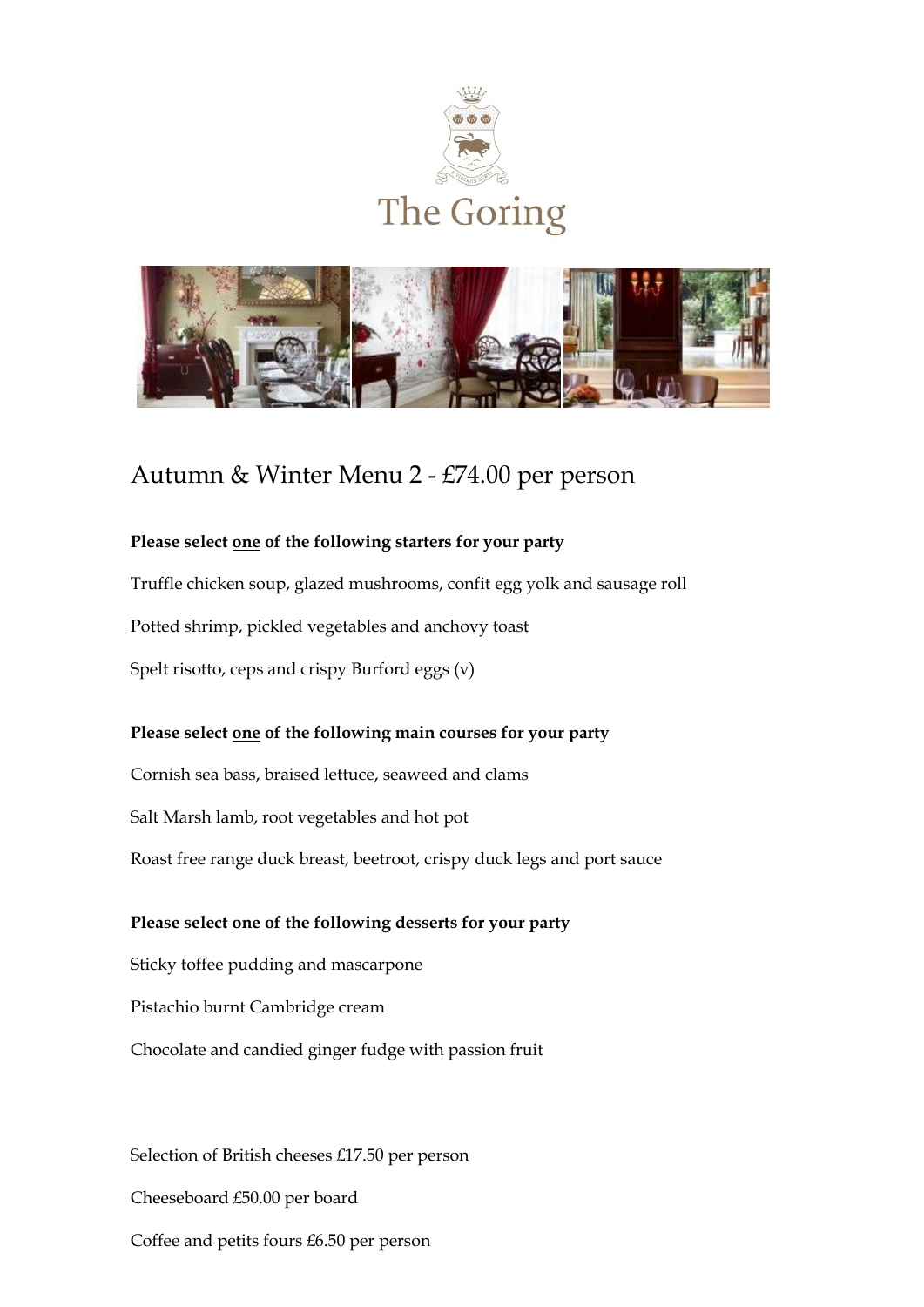



# Autumn & Winter Menu 2 - £74.00 per person

#### **Please select one of the following starters for your party**

Truffle chicken soup, glazed mushrooms, confit egg yolk and sausage roll Potted shrimp, pickled vegetables and anchovy toast

Spelt risotto, ceps and crispy Burford eggs (v)

## **Please select one of the following main courses for your party**

Cornish sea bass, braised lettuce, seaweed and clams

Salt Marsh lamb, root vegetables and hot pot

Roast free range duck breast, beetroot, crispy duck legs and port sauce

#### **Please select one of the following desserts for your party**

Sticky toffee pudding and mascarpone

Pistachio burnt Cambridge cream

Chocolate and candied ginger fudge with passion fruit

Selection of British cheeses £17.50 per person Cheeseboard £50.00 per board Coffee and petits fours £6.50 per person